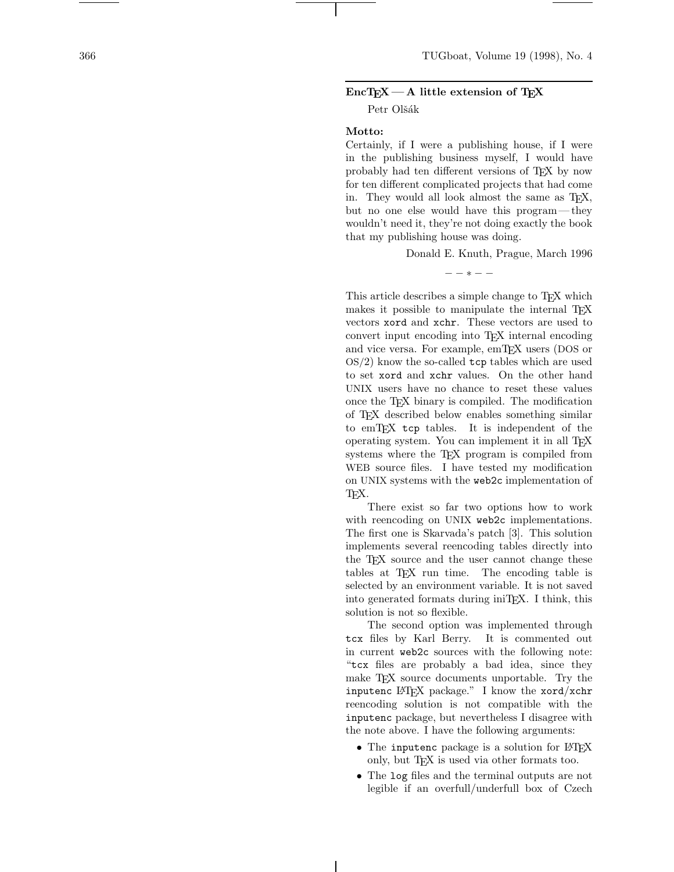# **EncTEX— A little extension of TEX**

Petr Olšák

## **Motto:**

Certainly, if I were a publishing house, if I were in the publishing business myself, I would have probably had ten different versions of TEX by now for ten different complicated projects that had come in. They would all look almost the same as T<sub>EX</sub>, but no one else would have this program— they wouldn't need it, they're not doing exactly the book that my publishing house was doing.

Donald E. Knuth, Prague, March 1996

−−∗−−

This article describes a simple change to T<sub>EX</sub> which makes it possible to manipulate the internal T<sub>E</sub>X vectors xord and xchr. These vectors are used to convert input encoding into TEX internal encoding and vice versa. For example, emTEX users (DOS or  $OS/2$ ) know the so-called  $top$  tables which are used to set xord and xchr values. On the other hand UNIX users have no chance to reset these values once the TEX binary is compiled. The modification of TEX described below enables something similar to emTEX tcp tables. It is independent of the operating system. You can implement it in all T<sub>E</sub>X systems where the TEX program is compiled from WEB source files. I have tested my modification on UNIX systems with the web2c implementation of TEX.

There exist so far two options how to work with reencoding on UNIX web2c implementations. The first one is Skarvada's patch [3]. This solution implements several reencoding tables directly into the TEX source and the user cannot change these tables at TEX run time. The encoding table is selected by an environment variable. It is not saved into generated formats during iniTEX. I think, this solution is not so flexible.

The second option was implemented through tcx files by Karl Berry. It is commented out in current web2c sources with the following note: "tcx files are probably a bad idea, since they make TEX source documents unportable. Try the inputenc LATEX package." I know the xord/xchr reencoding solution is not compatible with the inputenc package, but nevertheless I disagree with the note above. I have the following arguments:

- The inputenc package is a solution for LAT<sub>EX</sub> only, but T<sub>F</sub>X is used via other formats too.
- The log files and the terminal outputs are not legible if an overfull/underfull box of Czech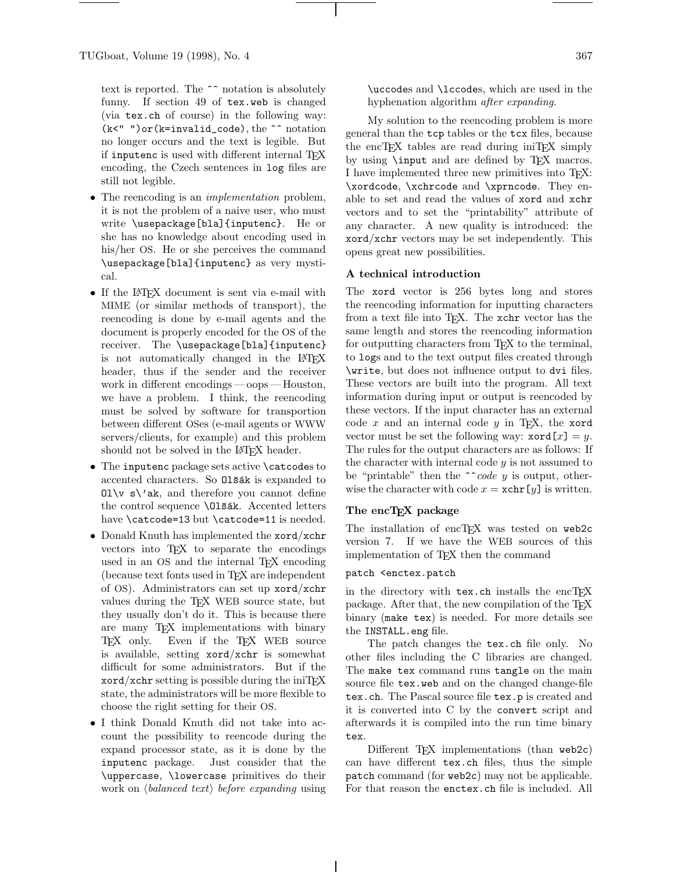text is reported. The ^^ notation is absolutely funny. If section 49 of tex.web is changed (via tex.ch of course) in the following way: (k<" ")or(k=invalid\_code), the ^^ notation no longer occurs and the text is legible. But if inputenc is used with different internal TEX encoding, the Czech sentences in log files are still not legible.

- The reencoding is an *implementation* problem, it is not the problem of a naive user, who must write \usepackage[bla]{inputenc}. He or she has no knowledge about encoding used in his/her OS. He or she perceives the command \usepackage[bla]{inputenc} as very mystical.
- If the IATEX document is sent via e-mail with MIME (or similar methods of transport), the reencoding is done by e-mail agents and the document is properly encoded for the OS of the receiver. The \usepackage[bla]{inputenc} is not automatically changed in the LATEX header, thus if the sender and the receiver work in different encodings —oops — Houston, we have a problem. I think, the reencoding must be solved by software for transportion between different OSes (e-mail agents or WWW servers/clients, for example) and this problem should not be solved in the L<sup>AT</sup>FX header.
- The inputenc package sets active \catcodes to accented characters. So 013ak is expanded to  $0\leq \mathbf{S}$  ak, and therefore you cannot define the control sequence **\01**šák. Accented letters have \catcode=13 but \catcode=11 is needed.
- Donald Knuth has implemented the xord/xchr vectors into TEX to separate the encodings used in an OS and the internal TEX encoding (because text fonts used in TEX are independent of OS). Administrators can set up xord/xchr values during the TEX WEB source state, but they usually don't do it. This is because there are many TEX implementations with binary TEX only. Even if the TEX WEB source is available, setting xord/xchr is somewhat difficult for some administrators. But if the  $xord/xchr$  setting is possible during the iniT<sub>EX</sub> state, the administrators will be more flexible to choose the right setting for their OS.
- I think Donald Knuth did not take into account the possibility to reencode during the expand processor state, as it is done by the inputenc package. Just consider that the \uppercase, \lowercase primitives do their work on  $\langle balanced \text{ text} \rangle$  before expanding using

\uccodes and \lccodes, which are used in the hyphenation algorithm after expanding.

My solution to the reencoding problem is more general than the tcp tables or the tcx files, because the encT<sub>EX</sub> tables are read during iniT<sub>EX</sub> simply by using **\input** and are defined by T<sub>F</sub>X macros. I have implemented three new primitives into TEX: \xordcode, \xchrcode and \xprncode. They enable to set and read the values of xord and xchr vectors and to set the "printability" attribute of any character. A new quality is introduced: the xord/xchr vectors may be set independently. This opens great new possibilities.

# **A technical introduction**

The xord vector is 256 bytes long and stores the reencoding information for inputting characters from a text file into TEX. The xchr vector has the same length and stores the reencoding information for outputting characters from T<sub>E</sub>X to the terminal, to logs and to the text output files created through \write, but does not influence output to dvi files. These vectors are built into the program. All text information during input or output is reencoded by these vectors. If the input character has an external code  $x$  and an internal code  $y$  in T<sub>E</sub>X, the xord vector must be set the following way:  $\text{word}[x] = y$ . The rules for the output characters are as follows: If the character with internal code  $y$  is not assumed to be "printable" then the  $\hat{\ }$  code y is output, otherwise the character with code  $x = \operatorname{xchr}[y]$  is written.

### **The encTEX package**

The installation of encTFX was tested on web2c version 7. If we have the WEB sources of this implementation of TEX then the command

## patch <enctex.patch

in the directory with  $text{tex}$ .ch installs the encTEX package. After that, the new compilation of the T<sub>EX</sub> binary (make tex) is needed. For more details see the INSTALL.eng file.

The patch changes the tex.ch file only. No other files including the C libraries are changed. The make tex command runs tangle on the main source file tex.web and on the changed change-file tex.ch. The Pascal source file tex.p is created and it is converted into C by the convert script and afterwards it is compiled into the run time binary tex.

Different  $T_F X$  implementations (than web2c) can have different tex.ch files, thus the simple patch command (for web2c) may not be applicable. For that reason the enctex.ch file is included. All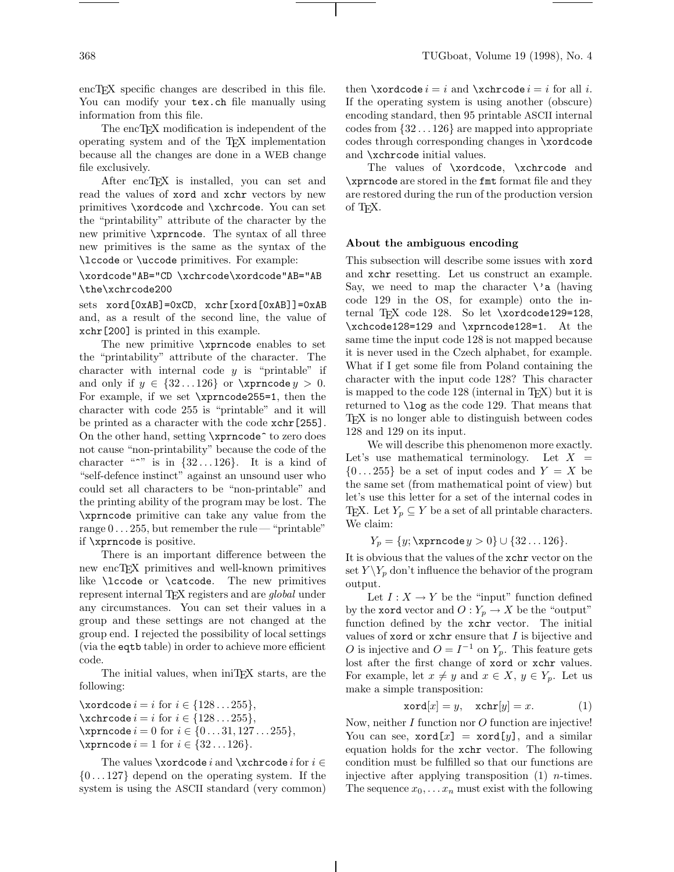encT<sub>E</sub>X specific changes are described in this file. You can modify your tex.ch file manually using information from this file.

The encT<sub>EX</sub> modification is independent of the operating system and of the TEX implementation because all the changes are done in a WEB change file exclusively.

After encTEX is installed, you can set and read the values of xord and xchr vectors by new primitives \xordcode and \xchrcode. You can set the "printability" attribute of the character by the new primitive \xprncode. The syntax of all three new primitives is the same as the syntax of the \lccode or \uccode primitives. For example:

# \xordcode"AB="CD \xchrcode\xordcode"AB="AB \the\xchrcode200

sets xord[0xAB]=0xCD, xchr[xord[0xAB]]=0xAB and, as a result of the second line, the value of xchr[200] is printed in this example.

The new primitive \xprncode enables to set the "printability" attribute of the character. The character with internal code  $y$  is "printable" if and only if  $y \in \{32...126\}$  or  $\xprime > 0$ . For example, if we set \xprncode255=1, then the character with code 255 is "printable" and it will be printed as a character with the code xchr[255]. On the other hand, setting \xprncode^ to zero does not cause "non-printability" because the code of the character " $\sim$ " is in  $\{32 \ldots 126\}$ . It is a kind of "self-defence instinct" against an unsound user who could set all characters to be "non-printable" and the printing ability of the program may be lost. The \xprncode primitive can take any value from the range  $0 \ldots 255$ , but remember the rule — "printable" if \xprncode is positive.

There is an important difference between the new encTEX primitives and well-known primitives like \lccode or \catcode. The new primitives represent internal T<sub>E</sub>X registers and are *global* under any circumstances. You can set their values in a group and these settings are not changed at the group end. I rejected the possibility of local settings (via the eqtb table) in order to achieve more efficient code.

The initial values, when iniT<sub>EX</sub> starts, are the following:

 $\setminus$ xordcode  $i = i$  for  $i \in \{128...255\},\$  $\xchrcode i = i for i \in \{128...255\},\$  $\xprime := 0 \text{ for } i \in \{0...31, 127...255\},$  $\varphi$  i = 1 for  $i \in \{32...126\}$ .

The values **\xordcode** i and **\xchrcode** i for  $i \in$  $\{0...127\}$  depend on the operating system. If the system is using the ASCII standard (very common)

then  $\xordcode = i$  and  $\xechcode = i$  for all *i*. If the operating system is using another (obscure) encoding standard, then 95 printable ASCII internal codes from {32 ... 126} are mapped into appropriate codes through corresponding changes in \xordcode and \xchrcode initial values.

The values of \xordcode, \xchrcode and \xprncode are stored in the fmt format file and they are restored during the run of the production version of TEX.

### **About the ambiguous encoding**

This subsection will describe some issues with xord and xchr resetting. Let us construct an example. Say, we need to map the character  $\setminus$  a (having code 129 in the OS, for example) onto the internal TFX code 128. So let  $\xo$ rdcode129=128, \xchcode128=129 and \xprncode128=1. At the same time the input code 128 is not mapped because it is never used in the Czech alphabet, for example. What if I get some file from Poland containing the character with the input code 128? This character is mapped to the code  $128$  (internal in T<sub>EX</sub>) but it is returned to \log as the code 129. That means that TEX is no longer able to distinguish between codes 128 and 129 on its input.

We will describe this phenomenon more exactly. Let's use mathematical terminology. Let  $X =$  $\{0...255\}$  be a set of input codes and  $Y = X$  be the same set (from mathematical point of view) but let's use this letter for a set of the internal codes in TEX. Let  $Y_p \subseteq Y$  be a set of all printable characters. We claim:

 $Y_p = \{y; \text{rncode } y > 0\} \cup \{32 \dots 126\}.$ 

It is obvious that the values of the xchr vector on the set  $Y \ Y_p$  don't influence the behavior of the program output.

Let  $I: X \to Y$  be the "input" function defined by the **xord** vector and  $O: Y_p \to X$  be the "output" function defined by the xchr vector. The initial values of xord or  $x$ chr ensure that  $I$  is bijective and O is injective and  $O = I^{-1}$  on  $Y_p$ . This feature gets lost after the first change of xord or xchr values. For example, let  $x \neq y$  and  $x \in X$ ,  $y \in Y_p$ . Let us make a simple transposition:

$$
x \text{ord}[x] = y, \quad x \text{chr}[y] = x. \tag{1}
$$

Now, neither I function nor O function are injective! You can see,  $\texttt{xord}[x] = \texttt{xord}[y]$ , and a similar equation holds for the xchr vector. The following condition must be fulfilled so that our functions are injective after applying transposition  $(1)$  *n*-times. The sequence  $x_0, \ldots x_n$  must exist with the following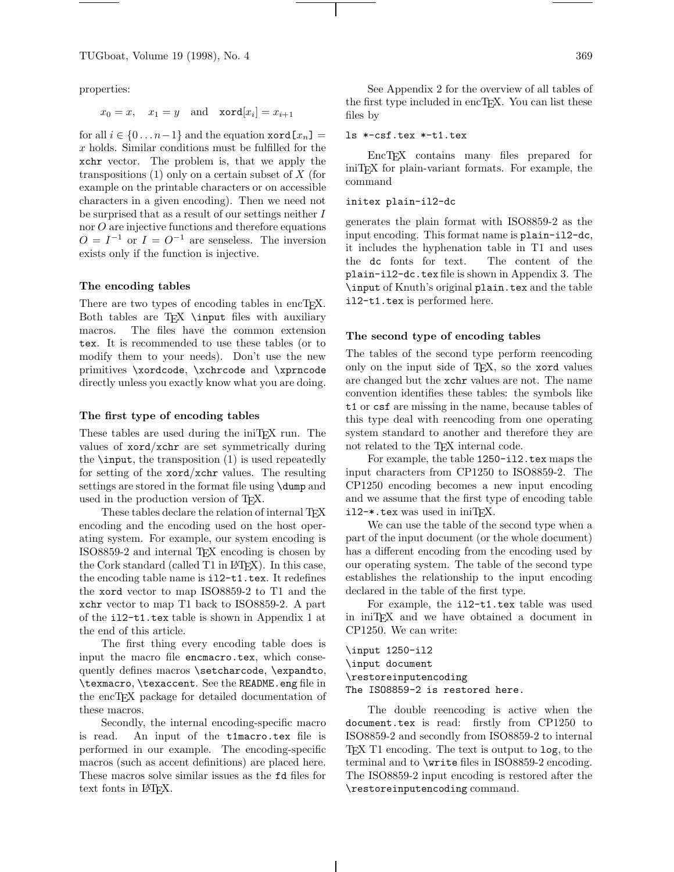properties:

 $x_0 = x$ ,  $x_1 = y$  and  $\operatorname{xord}[x_i] = x_{i+1}$ 

for all  $i \in \{0 \ldots n-1\}$  and the equation  $\texttt{xord}[x_n] =$ x holds. Similar conditions must be fulfilled for the xchr vector. The problem is, that we apply the transpositions  $(1)$  only on a certain subset of X (for example on the printable characters or on accessible characters in a given encoding). Then we need not be surprised that as a result of our settings neither I nor O are injective functions and therefore equations  $O = I^{-1}$  or  $I = O^{-1}$  are senseless. The inversion exists only if the function is injective.

#### **The encoding tables**

There are two types of encoding tables in encT<sub>E</sub>X. Both tables are  $TEX$  \input files with auxiliary macros. The files have the common extension tex. It is recommended to use these tables (or to modify them to your needs). Don't use the new primitives \xordcode, \xchrcode and \xprncode directly unless you exactly know what you are doing.

## **The first type of encoding tables**

These tables are used during the iniT<sub>E</sub>X run. The values of xord/xchr are set symmetrically during the  $\infty$ , the transposition  $(1)$  is used repeatedly for setting of the xord/xchr values. The resulting settings are stored in the format file using \dump and used in the production version of TEX.

These tables declare the relation of internal T<sub>E</sub>X encoding and the encoding used on the host operating system. For example, our system encoding is ISO8859-2 and internal TEX encoding is chosen by the Cork standard (called T1 in LATEX). In this case, the encoding table name is il2-t1.tex. It redefines the xord vector to map ISO8859-2 to T1 and the xchr vector to map T1 back to ISO8859-2. A part of the il2-t1.tex table is shown in Appendix 1 at the end of this article.

The first thing every encoding table does is input the macro file encmacro.tex, which consequently defines macros \setcharcode, \expandto, \texmacro, \texaccent. See the README.eng file in the encTEX package for detailed documentation of these macros.

Secondly, the internal encoding-specific macro is read. An input of the t1macro.tex file is performed in our example. The encoding-specific macros (such as accent definitions) are placed here. These macros solve similar issues as the fd files for text fonts in L<sup>AT</sup>FX.

See Appendix 2 for the overview of all tables of the first type included in encT<sub>E</sub>X. You can list these files by

# ls \*-csf.tex \*-t1.tex

EncTEX contains many files prepared for iniTEX for plain-variant formats. For example, the command

### initex plain-il2-dc

generates the plain format with ISO8859-2 as the input encoding. This format name is plain-il2-dc, it includes the hyphenation table in T1 and uses the dc fonts for text. The content of the plain-il2-dc.tex file is shown in Appendix 3. The \input of Knuth's original plain.tex and the table il2-t1.tex is performed here.

#### **The second type of encoding tables**

The tables of the second type perform reencoding only on the input side of TEX, so the xord values are changed but the xchr values are not. The name convention identifies these tables: the symbols like t1 or csf are missing in the name, because tables of this type deal with reencoding from one operating system standard to another and therefore they are not related to the TEX internal code.

For example, the table 1250-il2.tex maps the input characters from CP1250 to ISO8859-2. The CP1250 encoding becomes a new input encoding and we assume that the first type of encoding table  $i12-*.$  tex was used in iniT<sub>F</sub>X.

We can use the table of the second type when a part of the input document (or the whole document) has a different encoding from the encoding used by our operating system. The table of the second type establishes the relationship to the input encoding declared in the table of the first type.

For example, the il2-t1.tex table was used in iniTEX and we have obtained a document in CP1250. We can write:

\input 1250-il2 \input document \restoreinputencoding The ISO8859-2 is restored here.

The double reencoding is active when the document.tex is read: firstly from CP1250 to ISO8859-2 and secondly from ISO8859-2 to internal TEX T1 encoding. The text is output to log, to the terminal and to \write files in ISO8859-2 encoding. The ISO8859-2 input encoding is restored after the \restoreinputencoding command.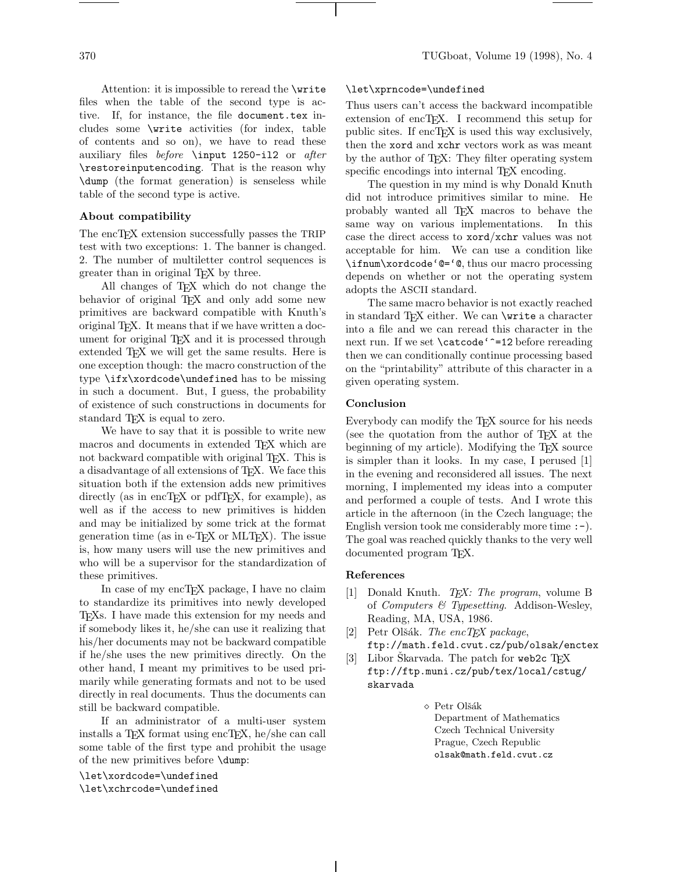Attention: it is impossible to reread the \write files when the table of the second type is active. If, for instance, the file document.tex includes some \write activities (for index, table of contents and so on), we have to read these auxiliary files before \input 1250-il2 or after \restoreinputencoding. That is the reason why \dump (the format generation) is senseless while table of the second type is active.

# **About compatibility**

The encT<sub>F</sub>X extension successfully passes the TRIP test with two exceptions: 1. The banner is changed. 2. The number of multiletter control sequences is greater than in original TEX by three.

All changes of TEX which do not change the behavior of original T<sub>E</sub>X and only add some new primitives are backward compatible with Knuth's original TEX. It means that if we have written a document for original T<sub>E</sub>X and it is processed through extended TEX we will get the same results. Here is one exception though: the macro construction of the type \ifx\xordcode\undefined has to be missing in such a document. But, I guess, the probability of existence of such constructions in documents for standard T<sub>EX</sub> is equal to zero.

We have to say that it is possible to write new macros and documents in extended T<sub>EX</sub> which are not backward compatible with original T<sub>E</sub>X. This is a disadvantage of all extensions of TEX. We face this situation both if the extension adds new primitives directly (as in encT<sub>E</sub>X or pdfT<sub>E</sub>X, for example), as well as if the access to new primitives is hidden and may be initialized by some trick at the format generation time (as in e- $T_{\text{F}}X$  or MLT $_{\text{F}}X$ ). The issue is, how many users will use the new primitives and who will be a supervisor for the standardization of these primitives.

In case of my encT<sub>F</sub>X package, I have no claim to standardize its primitives into newly developed TEXs. I have made this extension for my needs and if somebody likes it, he/she can use it realizing that his/her documents may not be backward compatible if he/she uses the new primitives directly. On the other hand, I meant my primitives to be used primarily while generating formats and not to be used directly in real documents. Thus the documents can still be backward compatible.

If an administrator of a multi-user system installs a T<sub>E</sub>X format using encT<sub>E</sub>X, he/she can call some table of the first type and prohibit the usage of the new primitives before \dump:

\let\xordcode=\undefined \let\xchrcode=\undefined

## \let\xprncode=\undefined

Thus users can't access the backward incompatible extension of encT<sub>EX</sub>. I recommend this setup for public sites. If encT $EX$  is used this way exclusively, then the xord and xchr vectors work as was meant by the author of TEX: They filter operating system specific encodings into internal T<sub>EX</sub> encoding.

The question in my mind is why Donald Knuth did not introduce primitives similar to mine. He probably wanted all TEX macros to behave the same way on various implementations. In this case the direct access to xord/xchr values was not acceptable for him. We can use a condition like \ifnum\xordcode'@='@, thus our macro processing depends on whether or not the operating system adopts the ASCII standard.

The same macro behavior is not exactly reached in standard TFX either. We can **\write** a character into a file and we can reread this character in the next run. If we set **\catcode'**<sup>-</sup>=12 before rereading then we can conditionally continue processing based on the "printability" attribute of this character in a given operating system.

## **Conclusion**

Everybody can modify the T<sub>EX</sub> source for his needs (see the quotation from the author of T<sub>EX</sub> at the beginning of my article). Modifying the T<sub>EX</sub> source is simpler than it looks. In my case, I perused [1] in the evening and reconsidered all issues. The next morning, I implemented my ideas into a computer and performed a couple of tests. And I wrote this article in the afternoon (in the Czech language; the English version took me considerably more time  $:-$ ). The goal was reached quickly thanks to the very well documented program T<sub>EX</sub>.

## **References**

- [1] Donald Knuth. TEX: The program, volume B of Computers & Typesetting. Addison-Wesley, Reading, MA, USA, 1986.
- [2] Petr Olšák. The encTEX package, ftp://math.feld.cvut.cz/pub/olsak/enctex
- [3] Libor Skarvada. The patch for web2c  $T_F X$ ftp://ftp.muni.cz/pub/tex/local/cstug/ skarvada
	- $\diamond$  Petr Olšák Department of Mathematics Czech Technical University Prague, Czech Republic olsak@math.feld.cvut.cz